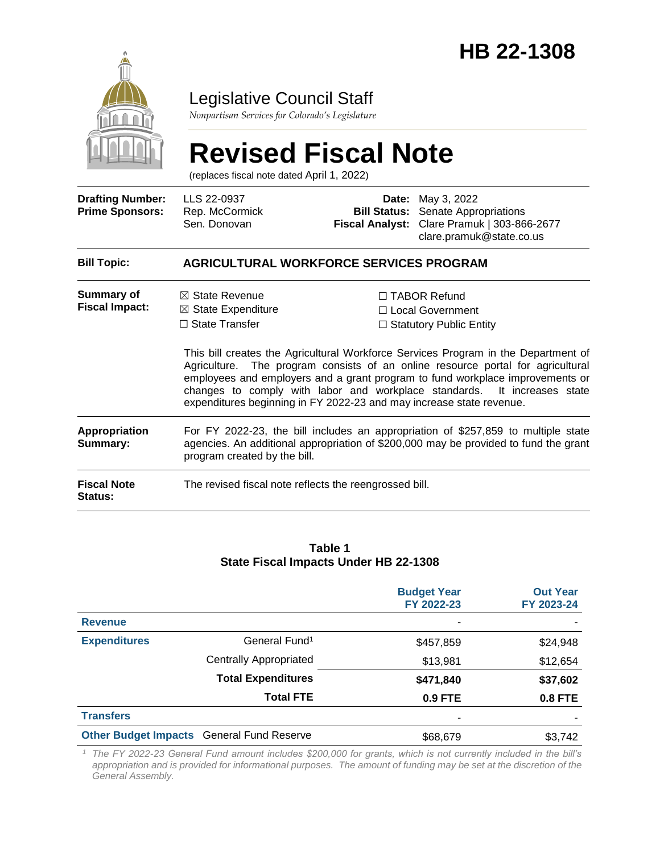

### Legislative Council Staff

*Nonpartisan Services for Colorado's Legislature*

# **Revised Fiscal Note**

(replaces fiscal note dated April 1, 2022)

| <b>Drafting Number:</b><br><b>Prime Sponsors:</b> | LLS 22-0937<br>Rep. McCormick<br>Sen. Donovan                                                                                                                                                             |  | <b>Date:</b> May 3, 2022<br><b>Bill Status:</b> Senate Appropriations<br>Fiscal Analyst: Clare Pramuk   303-866-2677<br>clare.pramuk@state.co.us                                                                                                                                                                                                                                                                  |  |
|---------------------------------------------------|-----------------------------------------------------------------------------------------------------------------------------------------------------------------------------------------------------------|--|-------------------------------------------------------------------------------------------------------------------------------------------------------------------------------------------------------------------------------------------------------------------------------------------------------------------------------------------------------------------------------------------------------------------|--|
| <b>Bill Topic:</b>                                | AGRICULTURAL WORKFORCE SERVICES PROGRAM                                                                                                                                                                   |  |                                                                                                                                                                                                                                                                                                                                                                                                                   |  |
| Summary of<br><b>Fiscal Impact:</b>               | $\boxtimes$ State Revenue<br>$\boxtimes$ State Expenditure<br>$\Box$ State Transfer<br>expenditures beginning in FY 2022-23 and may increase state revenue.                                               |  | $\Box$ TABOR Refund<br>□ Local Government<br>$\Box$ Statutory Public Entity<br>This bill creates the Agricultural Workforce Services Program in the Department of<br>Agriculture. The program consists of an online resource portal for agricultural<br>employees and employers and a grant program to fund workplace improvements or<br>changes to comply with labor and workplace standards. It increases state |  |
| <b>Appropriation</b><br>Summary:                  | For FY 2022-23, the bill includes an appropriation of \$257,859 to multiple state<br>agencies. An additional appropriation of \$200,000 may be provided to fund the grant<br>program created by the bill. |  |                                                                                                                                                                                                                                                                                                                                                                                                                   |  |
| <b>Fiscal Note</b><br>Status:                     | The revised fiscal note reflects the reengrossed bill.                                                                                                                                                    |  |                                                                                                                                                                                                                                                                                                                                                                                                                   |  |

#### **Table 1 State Fiscal Impacts Under HB 22-1308**

|                                                  |                               | <b>Budget Year</b><br>FY 2022-23 | <b>Out Year</b><br>FY 2023-24 |
|--------------------------------------------------|-------------------------------|----------------------------------|-------------------------------|
| <b>Revenue</b>                                   |                               |                                  |                               |
| <b>Expenditures</b>                              | General Fund <sup>1</sup>     | \$457,859                        | \$24,948                      |
|                                                  | <b>Centrally Appropriated</b> | \$13,981                         | \$12,654                      |
|                                                  | <b>Total Expenditures</b>     | \$471,840                        | \$37,602                      |
|                                                  | <b>Total FTE</b>              | 0.9 FTE                          | 0.8 FTE                       |
| <b>Transfers</b>                                 |                               |                                  |                               |
| <b>Other Budget Impacts General Fund Reserve</b> |                               | \$68,679                         | \$3,742                       |

*<sup>1</sup> The FY 2022-23 General Fund amount includes \$200,000 for grants, which is not currently included in the bill's appropriation and is provided for informational purposes. The amount of funding may be set at the discretion of the General Assembly.*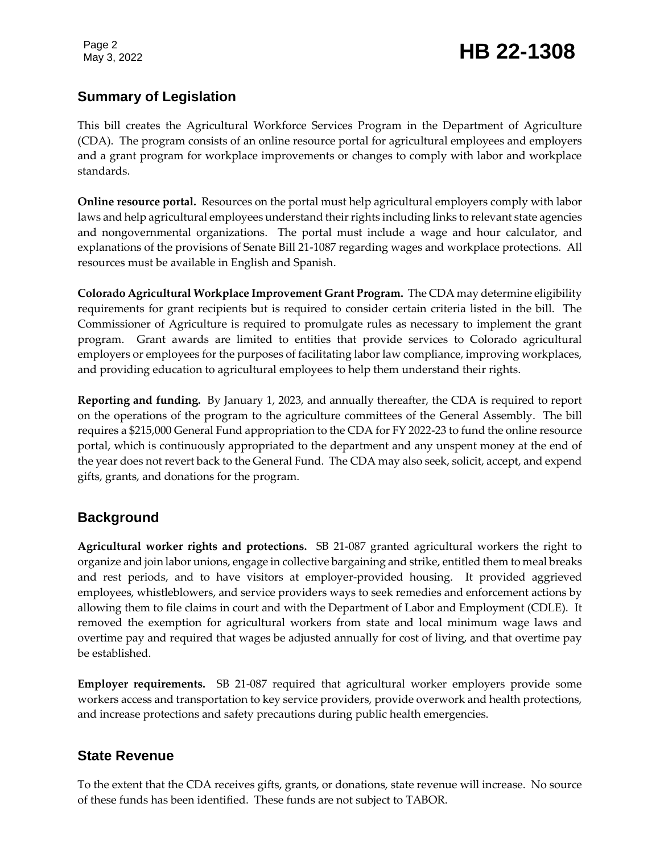Page 2

### Page 2<br>May 3, 2022 **HB 22-1308**

#### **Summary of Legislation**

This bill creates the Agricultural Workforce Services Program in the Department of Agriculture (CDA). The program consists of an online resource portal for agricultural employees and employers and a grant program for workplace improvements or changes to comply with labor and workplace standards.

**Online resource portal.** Resources on the portal must help agricultural employers comply with labor laws and help agricultural employees understand their rights including links to relevant state agencies and nongovernmental organizations. The portal must include a wage and hour calculator, and explanations of the provisions of Senate Bill 21-1087 regarding wages and workplace protections. All resources must be available in English and Spanish.

**Colorado Agricultural Workplace Improvement Grant Program.** The CDA may determine eligibility requirements for grant recipients but is required to consider certain criteria listed in the bill. The Commissioner of Agriculture is required to promulgate rules as necessary to implement the grant program. Grant awards are limited to entities that provide services to Colorado agricultural employers or employees for the purposes of facilitating labor law compliance, improving workplaces, and providing education to agricultural employees to help them understand their rights.

**Reporting and funding.** By January 1, 2023, and annually thereafter, the CDA is required to report on the operations of the program to the agriculture committees of the General Assembly. The bill requires a \$215,000 General Fund appropriation to the CDA for FY 2022-23 to fund the online resource portal, which is continuously appropriated to the department and any unspent money at the end of the year does not revert back to the General Fund. The CDA may also seek, solicit, accept, and expend gifts, grants, and donations for the program.

#### **Background**

**Agricultural worker rights and protections.** SB 21-087 granted agricultural workers the right to organize and join labor unions, engage in collective bargaining and strike, entitled them to meal breaks and rest periods, and to have visitors at employer-provided housing. It provided aggrieved employees, whistleblowers, and service providers ways to seek remedies and enforcement actions by allowing them to file claims in court and with the Department of Labor and Employment (CDLE). It removed the exemption for agricultural workers from state and local minimum wage laws and overtime pay and required that wages be adjusted annually for cost of living, and that overtime pay be established.

**Employer requirements.** SB 21-087 required that agricultural worker employers provide some workers access and transportation to key service providers, provide overwork and health protections, and increase protections and safety precautions during public health emergencies.

#### **State Revenue**

To the extent that the CDA receives gifts, grants, or donations, state revenue will increase. No source of these funds has been identified. These funds are not subject to TABOR.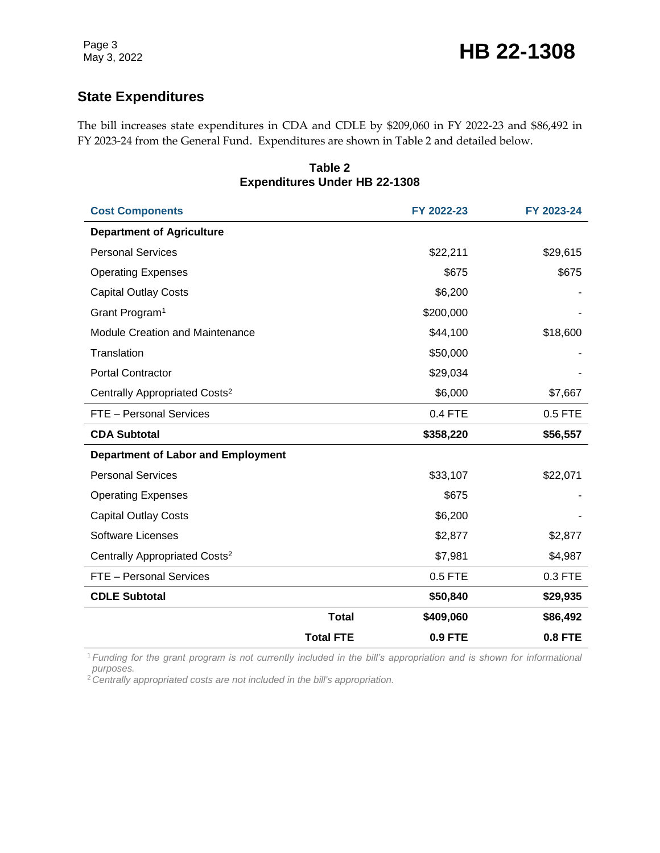#### **State Expenditures**

The bill increases state expenditures in CDA and CDLE by \$209,060 in FY 2022-23 and \$86,492 in FY 2023-24 from the General Fund. Expenditures are shown in Table 2 and detailed below.

| <b>Expenditures Under HB 22-1308</b>      |                  |                |                |  |  |  |
|-------------------------------------------|------------------|----------------|----------------|--|--|--|
| <b>Cost Components</b>                    |                  | FY 2022-23     | FY 2023-24     |  |  |  |
| <b>Department of Agriculture</b>          |                  |                |                |  |  |  |
| <b>Personal Services</b>                  |                  | \$22,211       | \$29,615       |  |  |  |
| <b>Operating Expenses</b>                 |                  | \$675          | \$675          |  |  |  |
| <b>Capital Outlay Costs</b>               |                  | \$6,200        |                |  |  |  |
| Grant Program <sup>1</sup>                |                  | \$200,000      |                |  |  |  |
| <b>Module Creation and Maintenance</b>    |                  | \$44,100       | \$18,600       |  |  |  |
| Translation                               |                  | \$50,000       |                |  |  |  |
| <b>Portal Contractor</b>                  |                  | \$29,034       |                |  |  |  |
| Centrally Appropriated Costs <sup>2</sup> |                  | \$6,000        | \$7,667        |  |  |  |
| FTE - Personal Services                   |                  | 0.4 FTE        | 0.5 FTE        |  |  |  |
| <b>CDA Subtotal</b>                       |                  | \$358,220      | \$56,557       |  |  |  |
| <b>Department of Labor and Employment</b> |                  |                |                |  |  |  |
| <b>Personal Services</b>                  |                  | \$33,107       | \$22,071       |  |  |  |
| <b>Operating Expenses</b>                 |                  | \$675          |                |  |  |  |
| <b>Capital Outlay Costs</b>               |                  | \$6,200        |                |  |  |  |
| <b>Software Licenses</b>                  |                  | \$2,877        | \$2,877        |  |  |  |
| Centrally Appropriated Costs <sup>2</sup> |                  | \$7,981        | \$4,987        |  |  |  |
| FTE - Personal Services                   |                  | 0.5 FTE        | 0.3 FTE        |  |  |  |
| <b>CDLE Subtotal</b>                      |                  | \$50,840       | \$29,935       |  |  |  |
|                                           | <b>Total</b>     | \$409,060      | \$86,492       |  |  |  |
|                                           | <b>Total FTE</b> | <b>0.9 FTE</b> | <b>0.8 FTE</b> |  |  |  |

**Table 2**

<sup>1</sup>*Funding for the grant program is not currently included in the bill's appropriation and is shown for informational purposes.*

2*Centrally appropriated costs are not included in the bill's appropriation.*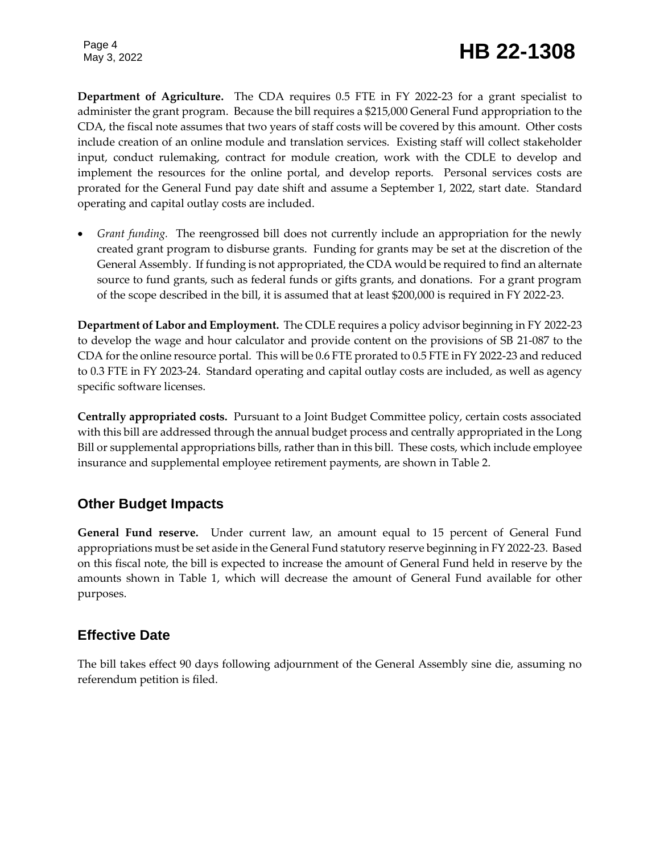Page 4

**Department of Agriculture.** The CDA requires 0.5 FTE in FY 2022-23 for a grant specialist to administer the grant program. Because the bill requires a \$215,000 General Fund appropriation to the CDA, the fiscal note assumes that two years of staff costs will be covered by this amount. Other costs include creation of an online module and translation services. Existing staff will collect stakeholder input, conduct rulemaking, contract for module creation, work with the CDLE to develop and implement the resources for the online portal, and develop reports. Personal services costs are prorated for the General Fund pay date shift and assume a September 1, 2022, start date. Standard operating and capital outlay costs are included.

 *Grant funding.* The reengrossed bill does not currently include an appropriation for the newly created grant program to disburse grants. Funding for grants may be set at the discretion of the General Assembly. If funding is not appropriated, the CDA would be required to find an alternate source to fund grants, such as federal funds or gifts grants, and donations. For a grant program of the scope described in the bill, it is assumed that at least \$200,000 is required in FY 2022-23.

**Department of Labor and Employment.** The CDLE requires a policy advisor beginning in FY 2022-23 to develop the wage and hour calculator and provide content on the provisions of SB 21-087 to the CDA for the online resource portal. This will be 0.6 FTE prorated to 0.5 FTE in FY 2022-23 and reduced to 0.3 FTE in FY 2023-24. Standard operating and capital outlay costs are included, as well as agency specific software licenses.

**Centrally appropriated costs.** Pursuant to a Joint Budget Committee policy, certain costs associated with this bill are addressed through the annual budget process and centrally appropriated in the Long Bill or supplemental appropriations bills, rather than in this bill. These costs, which include employee insurance and supplemental employee retirement payments, are shown in Table 2.

#### **Other Budget Impacts**

**General Fund reserve.** Under current law, an amount equal to 15 percent of General Fund appropriations must be set aside in the General Fund statutory reserve beginning in FY 2022-23. Based on this fiscal note, the bill is expected to increase the amount of General Fund held in reserve by the amounts shown in Table 1, which will decrease the amount of General Fund available for other purposes.

#### **Effective Date**

The bill takes effect 90 days following adjournment of the General Assembly sine die, assuming no referendum petition is filed.